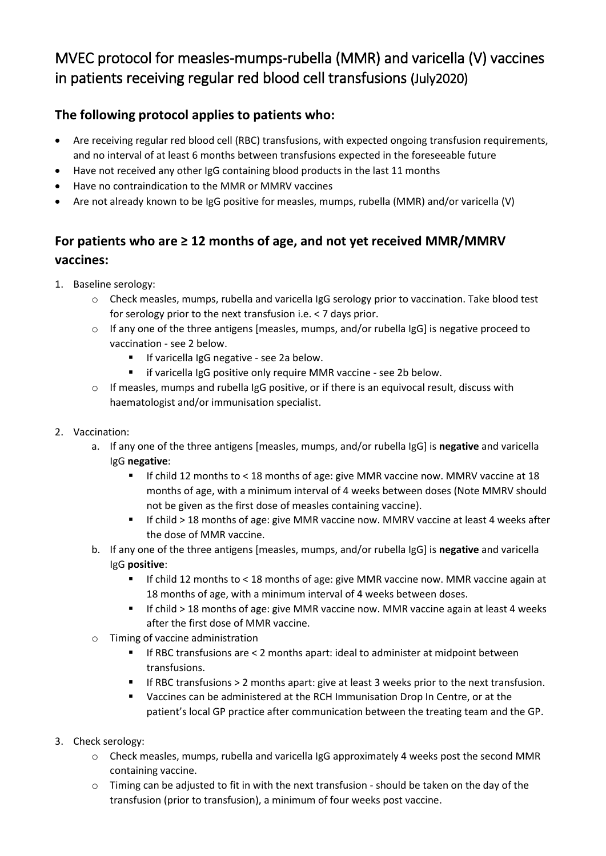## MVEC protocol for measles-mumps-rubella (MMR) and varicella (V) vaccines in patients receiving regular red blood cell transfusions (July2020)

## **The following protocol applies to patients who:**

- Are receiving regular red blood cell (RBC) transfusions, with expected ongoing transfusion requirements, and no interval of at least 6 months between transfusions expected in the foreseeable future
- Have not received any other IgG containing blood products in the last 11 months
- Have no contraindication to the MMR or MMRV vaccines
- Are not already known to be IgG positive for measles, mumps, rubella (MMR) and/or varicella (V)

## **For patients who are ≥ 12 months of age, and not yet received MMR/MMRV vaccines:**

- 1. Baseline serology:
	- o Check measles, mumps, rubella and varicella IgG serology prior to vaccination. Take blood test for serology prior to the next transfusion i.e. < 7 days prior.
	- o If any one of the three antigens [measles, mumps, and/or rubella IgG] is negative proceed to vaccination - see 2 below.
		- **If varicella IgG negative see 2a below.**
		- **F** if varicella IgG positive only require MMR vaccine see 2b below.
	- o If measles, mumps and rubella IgG positive, or if there is an equivocal result, discuss with haematologist and/or immunisation specialist.
- 2. Vaccination:
	- a. If any one of the three antigens [measles, mumps, and/or rubella IgG] is **negative** and varicella IgG **negative**:
		- If child 12 months to < 18 months of age: give MMR vaccine now. MMRV vaccine at 18 months of age, with a minimum interval of 4 weeks between doses (Note MMRV should not be given as the first dose of measles containing vaccine).
		- If child > 18 months of age: give MMR vaccine now. MMRV vaccine at least 4 weeks after the dose of MMR vaccine.
	- b. If any one of the three antigens [measles, mumps, and/or rubella IgG] is **negative** and varicella IgG **positive**:
		- If child 12 months to < 18 months of age: give MMR vaccine now. MMR vaccine again at 18 months of age, with a minimum interval of 4 weeks between doses.
		- If child > 18 months of age: give MMR vaccine now. MMR vaccine again at least 4 weeks after the first dose of MMR vaccine.
	- o Timing of vaccine administration
		- If RBC transfusions are < 2 months apart: ideal to administer at midpoint between transfusions.
		- If RBC transfusions > 2 months apart: give at least 3 weeks prior to the next transfusion.
		- Vaccines can be administered at the RCH Immunisation Drop In Centre, or at the patient's local GP practice after communication between the treating team and the GP.
- 3. Check serology:
	- o Check measles, mumps, rubella and varicella IgG approximately 4 weeks post the second MMR containing vaccine.
	- $\circ$  Timing can be adjusted to fit in with the next transfusion should be taken on the day of the transfusion (prior to transfusion), a minimum of four weeks post vaccine.